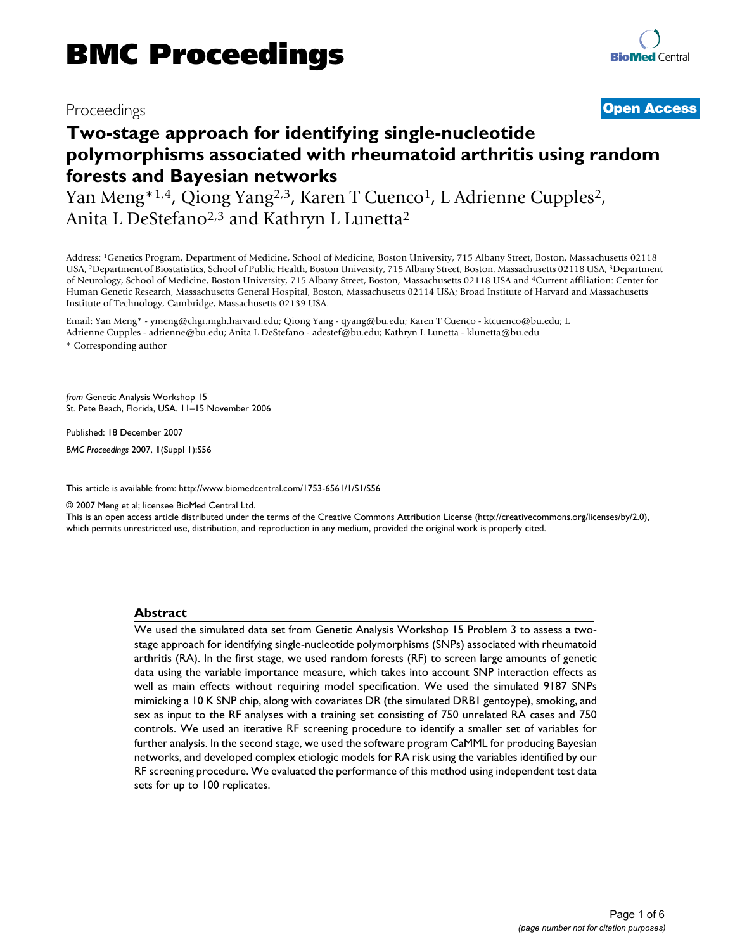# Proceedings **[Open Access](http://www.biomedcentral.com/info/about/charter/)**

# **Two-stage approach for identifying single-nucleotide polymorphisms associated with rheumatoid arthritis using random forests and Bayesian networks**

Yan Meng<sup>\*1,4</sup>, Qiong Yang<sup>2,3</sup>, Karen T Cuenco<sup>1</sup>, L Adrienne Cupples<sup>2</sup>, Anita L DeStefano<sup>2,3</sup> and Kathryn L Lunetta<sup>2</sup>

Address: 1Genetics Program, Department of Medicine, School of Medicine, Boston University, 715 Albany Street, Boston, Massachusetts 02118 USA, 2Department of Biostatistics, School of Public Health, Boston University, 715 Albany Street, Boston, Massachusetts 02118 USA, 3Department of Neurology, School of Medicine, Boston University, 715 Albany Street, Boston, Massachusetts 02118 USA and 4Current affiliation: Center for Human Genetic Research, Massachusetts General Hospital, Boston, Massachusetts 02114 USA; Broad Institute of Harvard and Massachusetts Institute of Technology, Cambridge, Massachusetts 02139 USA.

Email: Yan Meng\* - ymeng@chgr.mgh.harvard.edu; Qiong Yang - qyang@bu.edu; Karen T Cuenco - ktcuenco@bu.edu; L Adrienne Cupples - adrienne@bu.edu; Anita L DeStefano - adestef@bu.edu; Kathryn L Lunetta - klunetta@bu.edu \* Corresponding author

*from* Genetic Analysis Workshop 15 St. Pete Beach, Florida, USA. 11–15 November 2006

Published: 18 December 2007

*BMC Proceedings* 2007, **1**(Suppl 1):S56

[This article is available from: http://www.biomedcentral.com/1753-6561/1/S1/S56](http://www.biomedcentral.com/1753-6561/1/S1/S56)

© 2007 Meng et al; licensee BioMed Central Ltd.

This is an open access article distributed under the terms of the Creative Commons Attribution License [\(http://creativecommons.org/licenses/by/2.0\)](http://creativecommons.org/licenses/by/2.0), which permits unrestricted use, distribution, and reproduction in any medium, provided the original work is properly cited.

# **Abstract**

We used the simulated data set from Genetic Analysis Workshop 15 Problem 3 to assess a twostage approach for identifying single-nucleotide polymorphisms (SNPs) associated with rheumatoid arthritis (RA). In the first stage, we used random forests (RF) to screen large amounts of genetic data using the variable importance measure, which takes into account SNP interaction effects as well as main effects without requiring model specification. We used the simulated 9187 SNPs mimicking a 10 K SNP chip, along with covariates DR (the simulated DRB1 gentoype), smoking, and sex as input to the RF analyses with a training set consisting of 750 unrelated RA cases and 750 controls. We used an iterative RF screening procedure to identify a smaller set of variables for further analysis. In the second stage, we used the software program CaMML for producing Bayesian networks, and developed complex etiologic models for RA risk using the variables identified by our RF screening procedure. We evaluated the performance of this method using independent test data sets for up to 100 replicates.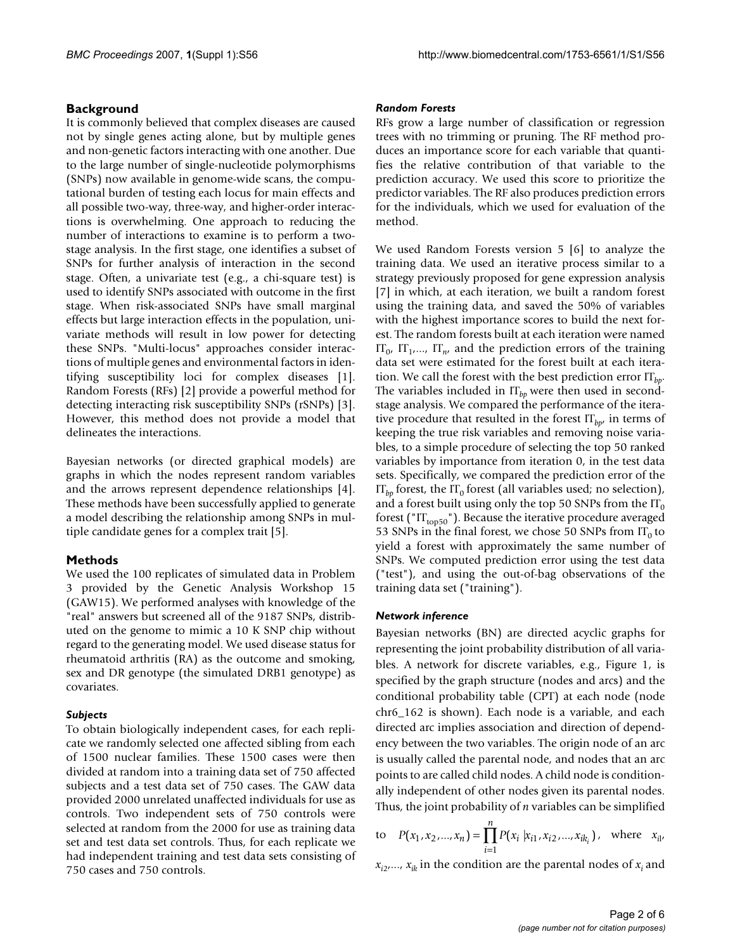# **Background**

It is commonly believed that complex diseases are caused not by single genes acting alone, but by multiple genes and non-genetic factors interacting with one another. Due to the large number of single-nucleotide polymorphisms (SNPs) now available in genome-wide scans, the computational burden of testing each locus for main effects and all possible two-way, three-way, and higher-order interactions is overwhelming. One approach to reducing the number of interactions to examine is to perform a twostage analysis. In the first stage, one identifies a subset of SNPs for further analysis of interaction in the second stage. Often, a univariate test (e.g., a chi-square test) is used to identify SNPs associated with outcome in the first stage. When risk-associated SNPs have small marginal effects but large interaction effects in the population, univariate methods will result in low power for detecting these SNPs. "Multi-locus" approaches consider interactions of multiple genes and environmental factors in identifying susceptibility loci for complex diseases [1]. Random Forests (RFs) [2] provide a powerful method for detecting interacting risk susceptibility SNPs (rSNPs) [3]. However, this method does not provide a model that delineates the interactions.

Bayesian networks (or directed graphical models) are graphs in which the nodes represent random variables and the arrows represent dependence relationships [4]. These methods have been successfully applied to generate a model describing the relationship among SNPs in multiple candidate genes for a complex trait [5].

# **Methods**

We used the 100 replicates of simulated data in Problem 3 provided by the Genetic Analysis Workshop 15 (GAW15). We performed analyses with knowledge of the "real" answers but screened all of the 9187 SNPs, distributed on the genome to mimic a 10 K SNP chip without regard to the generating model. We used disease status for rheumatoid arthritis (RA) as the outcome and smoking, sex and DR genotype (the simulated DRB1 genotype) as covariates.

# *Subjects*

To obtain biologically independent cases, for each replicate we randomly selected one affected sibling from each of 1500 nuclear families. These 1500 cases were then divided at random into a training data set of 750 affected subjects and a test data set of 750 cases. The GAW data provided 2000 unrelated unaffected individuals for use as controls. Two independent sets of 750 controls were selected at random from the 2000 for use as training data set and test data set controls. Thus, for each replicate we had independent training and test data sets consisting of 750 cases and 750 controls.

#### *Random Forests*

RFs grow a large number of classification or regression trees with no trimming or pruning. The RF method produces an importance score for each variable that quantifies the relative contribution of that variable to the prediction accuracy. We used this score to prioritize the predictor variables. The RF also produces prediction errors for the individuals, which we used for evaluation of the method.

We used Random Forests version 5 [6] to analyze the training data. We used an iterative process similar to a strategy previously proposed for gene expression analysis [7] in which, at each iteration, we built a random forest using the training data, and saved the 50% of variables with the highest importance scores to build the next forest. The random forests built at each iteration were named  $IT_0$ ,  $IT_1$ ,...,  $IT_n$ , and the prediction errors of the training data set were estimated for the forest built at each iteration. We call the forest with the best prediction error IT*bp*. The variables included in  $IT<sub>bn</sub>$  were then used in secondstage analysis. We compared the performance of the iterative procedure that resulted in the forest  $IT<sub>hpr</sub>$  in terms of keeping the true risk variables and removing noise variables, to a simple procedure of selecting the top 50 ranked variables by importance from iteration 0, in the test data sets. Specifically, we compared the prediction error of the  $IT_{ba}$  forest, the  $IT_0$  forest (all variables used; no selection), and a forest built using only the top 50 SNPs from the  $IT_0$ forest (" $IT<sub>top50</sub>$ "). Because the iterative procedure averaged 53 SNPs in the final forest, we chose 50 SNPs from  $IT_0$  to yield a forest with approximately the same number of SNPs. We computed prediction error using the test data ("test"), and using the out-of-bag observations of the training data set ("training").

## *Network inference*

Bayesian networks (BN) are directed acyclic graphs for representing the joint probability distribution of all variables. A network for discrete variables, e.g., Figure 1, is specified by the graph structure (nodes and arcs) and the conditional probability table (CPT) at each node (node chr6\_162 is shown). Each node is a variable, and each directed arc implies association and direction of dependency between the two variables. The origin node of an arc is usually called the parental node, and nodes that an arc points to are called child nodes. A child node is conditionally independent of other nodes given its parental nodes. Thus, the joint probability of *n* variables can be simplified

to 
$$
P(x_1, x_2,...,x_n) = \prod_{i=1}^{n} P(x_i | x_{i1}, x_{i2},...,x_{ik_i})
$$
, where  $x_{i1}$ ,

 $x_{i2},..., x_{ik}$  in the condition are the parental nodes of  $x_i$  and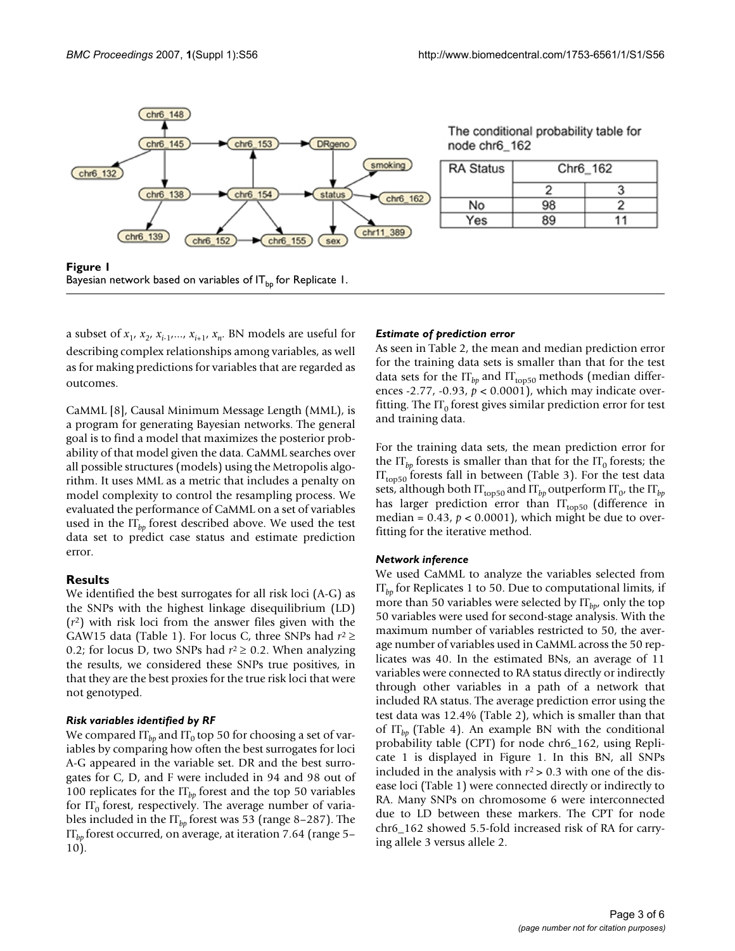

The conditional probability table for node chr6\_162

| <b>RA Status</b> | Chr6_162 |  |  |
|------------------|----------|--|--|
|                  |          |  |  |
| No               | 98       |  |  |
| Yes              | 39       |  |  |

**Figure 1** Bayesian network based on variables of  $IT_{b}$  for Replicate 1.

a subset of  $x_1$ ,  $x_2$ ,  $x_{i-1}$ ,  $x_{i+1}$ ,  $x_n$ . BN models are useful for describing complex relationships among variables, as well as for making predictions for variables that are regarded as outcomes.

CaMML [8], Causal Minimum Message Length (MML), is a program for generating Bayesian networks. The general goal is to find a model that maximizes the posterior probability of that model given the data. CaMML searches over all possible structures (models) using the Metropolis algorithm. It uses MML as a metric that includes a penalty on model complexity to control the resampling process. We evaluated the performance of CaMML on a set of variables used in the  $IT_{bn}$  forest described above. We used the test data set to predict case status and estimate prediction error.

# **Results**

We identified the best surrogates for all risk loci (A-G) as the SNPs with the highest linkage disequilibrium (LD) (*r*2) with risk loci from the answer files given with the GAW15 data (Table 1). For locus C, three SNPs had *r*<sup>2</sup>≥ 0.2; for locus D, two SNPs had *r*<sup>2</sup>≥ 0.2. When analyzing the results, we considered these SNPs true positives, in that they are the best proxies for the true risk loci that were not genotyped.

# *Risk variables identified by RF*

We compared  $IT_{bp}$  and  $IT_0$  top 50 for choosing a set of variables by comparing how often the best surrogates for loci A-G appeared in the variable set. DR and the best surrogates for C, D, and F were included in 94 and 98 out of 100 replicates for the IT*bp* forest and the top 50 variables for  $IT_0$  forest, respectively. The average number of variables included in the IT*bp* forest was 53 (range 8–287). The IT*bp* forest occurred, on average, at iteration 7.64 (range 5– 10).

# *Estimate of prediction error*

As seen in Table 2, the mean and median prediction error for the training data sets is smaller than that for the test data sets for the  $IT_{bp}$  and  $IT_{top50}$  methods (median differences -2.77, -0.93, *p* < 0.0001), which may indicate overfitting. The  $IT_0$  forest gives similar prediction error for test and training data.

For the training data sets, the mean prediction error for the  $IT_{bb}$  forests is smaller than that for the  $IT_0$  forests; the  $IT<sub>top50</sub>$  forests fall in between (Table 3). For the test data sets, although both  $IT_{top50}$  and  $IT_{bp}$  outperform  $IT_{0}$ , the  $IT_{bp}$ has larger prediction error than  $IT_{top50}$  (difference in median =  $0.43$ ,  $p < 0.0001$ ), which might be due to overfitting for the iterative method.

## *Network inference*

We used CaMML to analyze the variables selected from IT*bp* for Replicates 1 to 50. Due to computational limits, if more than 50 variables were selected by  $IT<sub>bn</sub>$ , only the top 50 variables were used for second-stage analysis. With the maximum number of variables restricted to 50, the average number of variables used in CaMML across the 50 replicates was 40. In the estimated BNs, an average of 11 variables were connected to RA status directly or indirectly through other variables in a path of a network that included RA status. The average prediction error using the test data was 12.4% (Table 2), which is smaller than that of IT*bp* (Table 4). An example BN with the conditional probability table (CPT) for node chr6\_162, using Replicate 1 is displayed in Figure 1. In this BN, all SNPs included in the analysis with  $r^2 > 0.3$  with one of the disease loci (Table 1) were connected directly or indirectly to RA. Many SNPs on chromosome 6 were interconnected due to LD between these markers. The CPT for node chr6\_162 showed 5.5-fold increased risk of RA for carrying allele 3 versus allele 2.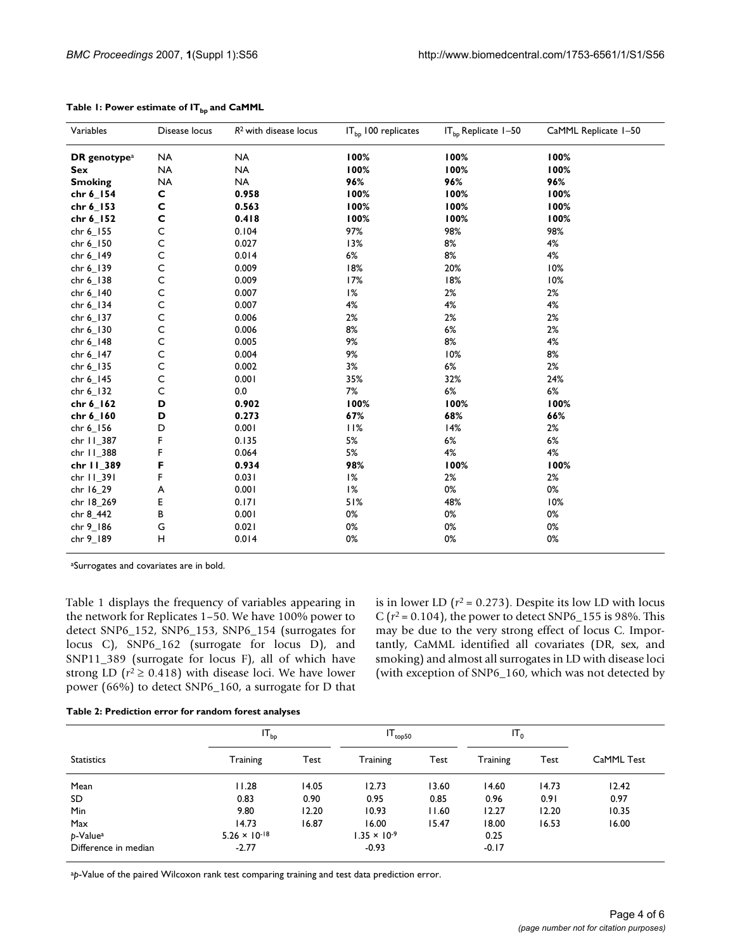| Variables                | Disease locus | $R2$ with disease locus | IT <sub>bp</sub> 100 replicates | $IT_{bp}$ Replicate $1-50$ | CaMML Replicate 1-50 |
|--------------------------|---------------|-------------------------|---------------------------------|----------------------------|----------------------|
| DR genotype <sup>a</sup> | <b>NA</b>     | <b>NA</b>               | 100%                            | 100%                       | 100%                 |
| Sex                      | <b>NA</b>     | <b>NA</b>               | 100%                            | 100%                       | 100%                 |
| <b>Smoking</b>           | <b>NA</b>     | <b>NA</b>               | 96%                             | 96%                        | 96%                  |
| chr 6_154                | C             | 0.958                   | 100%                            | 100%                       | 100%                 |
| chr 6_153                | C             | 0.563                   | 100%                            | 100%                       | 100%                 |
| chr 6_152                | $\mathbf c$   | 0.418                   | 100%                            | 100%                       | 100%                 |
| chr 6_155                | $\mathsf C$   | 0.104                   | 97%                             | 98%                        | 98%                  |
| chr 6_150                | $\mathsf C$   | 0.027                   | 13%                             | 8%                         | 4%                   |
| chr 6_149                | $\mathsf C$   | 0.014                   | 6%                              | 8%                         | 4%                   |
| chr 6_139                | $\mathsf{C}$  | 0.009                   | 18%                             | 20%                        | 10%                  |
| chr 6_138                | $\mathsf C$   | 0.009                   | 17%                             | 18%                        | 10%                  |
| chr 6_140                | $\mathsf C$   | 0.007                   | 1%                              | 2%                         | 2%                   |
| chr 6_134                | $\mathsf C$   | 0.007                   | 4%                              | 4%                         | 4%                   |
| chr 6_137                | $\mathsf C$   | 0.006                   | 2%                              | 2%                         | 2%                   |
| chr 6_130                | $\mathsf C$   | 0.006                   | 8%                              | 6%                         | 2%                   |
| chr 6_148                | $\mathsf C$   | 0.005                   | 9%                              | 8%                         | 4%                   |
| chr 6_147                | $\mathsf C$   | 0.004                   | 9%                              | 10%                        | 8%                   |
| chr 6_135                | $\mathsf C$   | 0.002                   | 3%                              | 6%                         | 2%                   |
| chr 6_145                | $\mathsf C$   | 0.001                   | 35%                             | 32%                        | 24%                  |
| chr 6_132                | $\mathsf C$   | 0.0                     | 7%                              | $6\%$                      | 6%                   |
| chr 6_162                | D             | 0.902                   | 100%                            | 100%                       | 100%                 |
| chr 6_160                | D             | 0.273                   | 67%                             | 68%                        | 66%                  |
| chr 6_156                | D             | 0.001                   | 11%                             | 14%                        | 2%                   |
| chr 11_387               | F             | 0.135                   | 5%                              | 6%                         | 6%                   |
| chr 11_388               | F             | 0.064                   | 5%                              | 4%                         | 4%                   |
| chr 11_389               | F             | 0.934                   | 98%                             | 100%                       | 100%                 |
| chr 11_391               | F             | 0.031                   | 1%                              | 2%                         | 2%                   |
| chr 16_29                | A             | 0.001                   | 1%                              | 0%                         | 0%                   |
| chr 18_269               | E             | 0.171                   | 51%                             | 48%                        | 10%                  |
| chr 8_442                | В             | 0.001                   | 0%                              | 0%                         | 0%                   |
| chr 9_186                | G             | 0.021                   | 0%                              | 0%                         | 0%                   |
| chr 9_189                | Н             | 0.014                   | 0%                              | 0%                         | 0%                   |

#### Table 1: Power estimate of IT<sub>bp</sub> and CaMML

aSurrogates and covariates are in bold.

Table 1 displays the frequency of variables appearing in the network for Replicates 1–50. We have 100% power to detect SNP6\_152, SNP6\_153, SNP6\_154 (surrogates for locus C), SNP6\_162 (surrogate for locus D), and SNP11\_389 (surrogate for locus F), all of which have strong LD ( $r^2 \ge 0.418$ ) with disease loci. We have lower power (66%) to detect SNP6\_160, a surrogate for D that is in lower LD  $(r^2 = 0.273)$ . Despite its low LD with locus C ( $r^2$  = 0.104), the power to detect SNP6\_155 is 98%. This may be due to the very strong effect of locus C. Importantly, CaMML identified all covariates (DR, sex, and smoking) and almost all surrogates in LD with disease loci (with exception of SNP6\_160, which was not detected by

| Table 2: Prediction error for random forest analyses |  |  |
|------------------------------------------------------|--|--|
|                                                      |  |  |

|                      | $IT_{bp}$              |       |                       | $IT_{top50}$ |          |       |            |
|----------------------|------------------------|-------|-----------------------|--------------|----------|-------|------------|
| <b>Statistics</b>    | Training               | Test  | Training              | Test         | Training | Test  | CaMML Test |
| Mean                 | 11.28                  | 14.05 | 12.73                 | 13.60        | 14.60    | 14.73 | 12.42      |
| SD                   | 0.83                   | 0.90  | 0.95                  | 0.85         | 0.96     | 0.91  | 0.97       |
| Min                  | 9.80                   | 12.20 | 10.93                 | 11.60        | 12.27    | 12.20 | 10.35      |
| Max                  | 14.73                  | 16.87 | 16.00                 | 15.47        | 18.00    | 16.53 | 16.00      |
| p-Value <sup>a</sup> | $5.26 \times 10^{-18}$ |       | $1.35 \times 10^{-9}$ |              | 0.25     |       |            |
| Difference in median | $-2.77$                |       | $-0.93$               |              | $-0.17$  |       |            |

ap-Value of the paired Wilcoxon rank test comparing training and test data prediction error.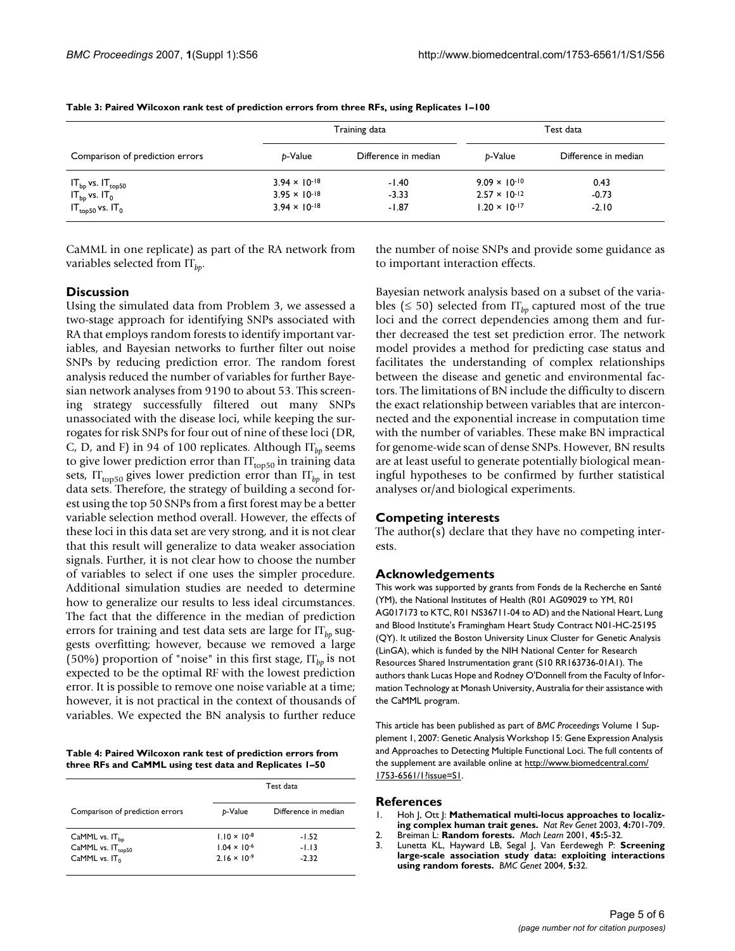|                                 |                        | Training data        | Test data              |                      |  |
|---------------------------------|------------------------|----------------------|------------------------|----------------------|--|
| Comparison of prediction errors | b-Value                | Difference in median | b-Value                | Difference in median |  |
| $IT_{bp}$ vs. $IT_{top50}$      | $3.94 \times 10^{-18}$ | $-1.40$              | $9.09 \times 10^{-10}$ | 0.43                 |  |
| $IT_{bp}$ vs. $IT_0$            | $3.95 \times 10^{-18}$ | $-3.33$              | $2.57 \times 10^{-12}$ | $-0.73$              |  |
| $IT_{top50}$ vs. $IT_0$         | $3.94 \times 10^{-18}$ | $-1.87$              | $1.20 \times 10^{-17}$ | $-2.10$              |  |

CaMML in one replicate) as part of the RA network from variables selected from IT*bp*.

# **Discussion**

Using the simulated data from Problem 3, we assessed a two-stage approach for identifying SNPs associated with RA that employs random forests to identify important variables, and Bayesian networks to further filter out noise SNPs by reducing prediction error. The random forest analysis reduced the number of variables for further Bayesian network analyses from 9190 to about 53. This screening strategy successfully filtered out many SNPs unassociated with the disease loci, while keeping the surrogates for risk SNPs for four out of nine of these loci (DR, C, D, and F) in 94 of 100 replicates. Although IT<sub>bp</sub> seems to give lower prediction error than  $IT_{top50}$  in training data sets,  $IT<sub>top50</sub>$  gives lower prediction error than  $IT<sub>bp</sub>$  in test data sets. Therefore, the strategy of building a second forest using the top 50 SNPs from a first forest may be a better variable selection method overall. However, the effects of these loci in this data set are very strong, and it is not clear that this result will generalize to data weaker association signals. Further, it is not clear how to choose the number of variables to select if one uses the simpler procedure. Additional simulation studies are needed to determine how to generalize our results to less ideal circumstances. The fact that the difference in the median of prediction errors for training and test data sets are large for  $IT<sub>hn</sub>$  suggests overfitting; however, because we removed a large (50%) proportion of "noise" in this first stage,  $\Pi_{b}$  is not expected to be the optimal RF with the lowest prediction error. It is possible to remove one noise variable at a time; however, it is not practical in the context of thousands of variables. We expected the BN analysis to further reduce

**Table 4: Paired Wilcoxon rank test of prediction errors from three RFs and CaMML using test data and Replicates 1–50**

|                                 | Test data             |                      |  |
|---------------------------------|-----------------------|----------------------|--|
| Comparison of prediction errors | b-Value               | Difference in median |  |
| CaMML vs. $IT_{bn}$             | $1.10 \times 10^{-8}$ | $-1.52$              |  |
| CaMML vs. $IT_{\text{top50}}$   | $1.04 \times 10^{-6}$ | $-1.13$              |  |
| CaMML vs. $IT_0$                | $2.16 \times 10^{-9}$ | $-2.32$              |  |

the number of noise SNPs and provide some guidance as to important interaction effects.

Bayesian network analysis based on a subset of the variables ( $\leq$  50) selected from  $\Pi_{bp}$  captured most of the true loci and the correct dependencies among them and further decreased the test set prediction error. The network model provides a method for predicting case status and facilitates the understanding of complex relationships between the disease and genetic and environmental factors. The limitations of BN include the difficulty to discern the exact relationship between variables that are interconnected and the exponential increase in computation time with the number of variables. These make BN impractical for genome-wide scan of dense SNPs. However, BN results are at least useful to generate potentially biological meaningful hypotheses to be confirmed by further statistical analyses or/and biological experiments.

# **Competing interests**

The author(s) declare that they have no competing interests.

# **Acknowledgements**

This work was supported by grants from Fonds de la Recherche en Santé (YM), the National Institutes of Health (R01 AG09029 to YM, R01 AG017173 to KTC, R01 NS36711-04 to AD) and the National Heart, Lung and Blood Institute's Framingham Heart Study Contract N01-HC-25195 (QY). It utilized the Boston University Linux Cluster for Genetic Analysis (LinGA), which is funded by the NIH National Center for Research Resources Shared Instrumentation grant (S10 RR163736-01A1). The authors thank Lucas Hope and Rodney O'Donnell from the Faculty of Information Technology at Monash University, Australia for their assistance with the CaMML program.

This article has been published as part of *BMC Proceedings* Volume 1 Supplement 1, 2007: Genetic Analysis Workshop 15: Gene Expression Analysis and Approaches to Detecting Multiple Functional Loci. The full contents of the supplement are available online at [http://www.biomedcentral.com/](http://www.biomedcentral.com/1753-6561/1?issue=S1) [1753-6561/1?issue=S1.](http://www.biomedcentral.com/1753-6561/1?issue=S1)

#### **References**

- 1. Hoh J, Ott J: **[Mathematical multi-locus approaches to localiz](http://www.ncbi.nlm.nih.gov/entrez/query.fcgi?cmd=Retrieve&db=PubMed&dopt=Abstract&list_uids=12951571)[ing complex human trait genes.](http://www.ncbi.nlm.nih.gov/entrez/query.fcgi?cmd=Retrieve&db=PubMed&dopt=Abstract&list_uids=12951571)** *Nat Rev Genet* 2003, **4:**701-709.
- 2. Breiman L: **Random forests.** *Mach Learn* 2001, **45:**5-32.
- 3. Lunetta KL, Hayward LB, Segal J, Van Eerdewegh P: **[Screening](http://www.ncbi.nlm.nih.gov/entrez/query.fcgi?cmd=Retrieve&db=PubMed&dopt=Abstract&list_uids=15588316) [large-scale association study data: exploiting interactions](http://www.ncbi.nlm.nih.gov/entrez/query.fcgi?cmd=Retrieve&db=PubMed&dopt=Abstract&list_uids=15588316) [using random forests.](http://www.ncbi.nlm.nih.gov/entrez/query.fcgi?cmd=Retrieve&db=PubMed&dopt=Abstract&list_uids=15588316)** *BMC Genet* 2004, **5:**32.